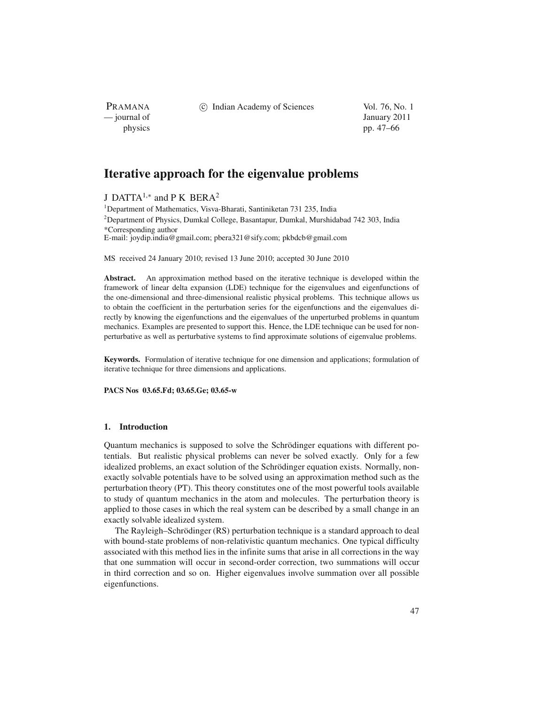PRAMANA<br>
— journal of

(c) Indian Academy of Sciences Vol. 76, No. 1

January 2011 physics pp. 47–66

# **Iterative approach for the eigenvalue problems**

J DATTA1,<sup>∗</sup> and P K BERA<sup>2</sup>

<sup>1</sup>Department of Mathematics, Visva-Bharati, Santiniketan 731 235, India <sup>2</sup>Department of Physics, Dumkal College, Basantapur, Dumkal, Murshidabad 742 303, India \*Corresponding author

E-mail: joydip.india@gmail.com; pbera321@sify.com; pkbdcb@gmail.com

MS received 24 January 2010; revised 13 June 2010; accepted 30 June 2010

**Abstract.** An approximation method based on the iterative technique is developed within the framework of linear delta expansion (LDE) technique for the eigenvalues and eigenfunctions of the one-dimensional and three-dimensional realistic physical problems. This technique allows us to obtain the coefficient in the perturbation series for the eigenfunctions and the eigenvalues directly by knowing the eigenfunctions and the eigenvalues of the unperturbed problems in quantum mechanics. Examples are presented to support this. Hence, the LDE technique can be used for nonperturbative as well as perturbative systems to find approximate solutions of eigenvalue problems.

**Keywords.** Formulation of iterative technique for one dimension and applications; formulation of iterative technique for three dimensions and applications.

**PACS Nos 03.65.Fd; 03.65.Ge; 03.65-w**

## **1. Introduction**

Quantum mechanics is supposed to solve the Schrödinger equations with different potentials. But realistic physical problems can never be solved exactly. Only for a few idealized problems, an exact solution of the Schrödinger equation exists. Normally, nonexactly solvable potentials have to be solved using an approximation method such as the perturbation theory (PT). This theory constitutes one of the most powerful tools available to study of quantum mechanics in the atom and molecules. The perturbation theory is applied to those cases in which the real system can be described by a small change in an exactly solvable idealized system.

The Rayleigh–Schrödinger (RS) perturbation technique is a standard approach to deal with bound-state problems of non-relativistic quantum mechanics. One typical difficulty associated with this method lies in the infinite sums that arise in all corrections in the way that one summation will occur in second-order correction, two summations will occur in third correction and so on. Higher eigenvalues involve summation over all possible eigenfunctions.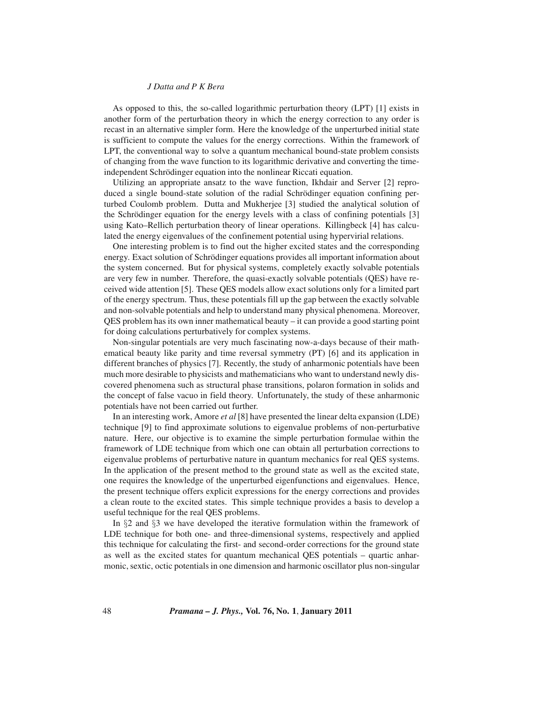As opposed to this, the so-called logarithmic perturbation theory (LPT) [1] exists in another form of the perturbation theory in which the energy correction to any order is recast in an alternative simpler form. Here the knowledge of the unperturbed initial state is sufficient to compute the values for the energy corrections. Within the framework of LPT, the conventional way to solve a quantum mechanical bound-state problem consists of changing from the wave function to its logarithmic derivative and converting the timeindependent Schrödinger equation into the nonlinear Riccati equation.

Utilizing an appropriate ansatz to the wave function, Ikhdair and Server [2] reproduced a single bound-state solution of the radial Schrödinger equation confining perturbed Coulomb problem. Dutta and Mukherjee [3] studied the analytical solution of the Schrödinger equation for the energy levels with a class of confining potentials [3] using Kato–Rellich perturbation theory of linear operations. Killingbeck [4] has calculated the energy eigenvalues of the confinement potential using hypervirial relations.

One interesting problem is to find out the higher excited states and the corresponding energy. Exact solution of Schrödinger equations provides all important information about the system concerned. But for physical systems, completely exactly solvable potentials are very few in number. Therefore, the quasi-exactly solvable potentials (QES) have received wide attention [5]. These QES models allow exact solutions only for a limited part of the energy spectrum. Thus, these potentials fill up the gap between the exactly solvable and non-solvable potentials and help to understand many physical phenomena. Moreover, QES problem has its own inner mathematical beauty – it can provide a good starting point for doing calculations perturbatively for complex systems.

Non-singular potentials are very much fascinating now-a-days because of their mathematical beauty like parity and time reversal symmetry (PT) [6] and its application in different branches of physics [7]. Recently, the study of anharmonic potentials have been much more desirable to physicists and mathematicians who want to understand newly discovered phenomena such as structural phase transitions, polaron formation in solids and the concept of false vacuo in field theory. Unfortunately, the study of these anharmonic potentials have not been carried out further.

In an interesting work, Amore *et al* [8] have presented the linear delta expansion (LDE) technique [9] to find approximate solutions to eigenvalue problems of non-perturbative nature. Here, our objective is to examine the simple perturbation formulae within the framework of LDE technique from which one can obtain all perturbation corrections to eigenvalue problems of perturbative nature in quantum mechanics for real QES systems. In the application of the present method to the ground state as well as the excited state, one requires the knowledge of the unperturbed eigenfunctions and eigenvalues. Hence, the present technique offers explicit expressions for the energy corrections and provides a clean route to the excited states. This simple technique provides a basis to develop a useful technique for the real QES problems.

In §2 and §3 we have developed the iterative formulation within the framework of LDE technique for both one- and three-dimensional systems, respectively and applied this technique for calculating the first- and second-order corrections for the ground state as well as the excited states for quantum mechanical QES potentials – quartic anharmonic, sextic, octic potentials in one dimension and harmonic oscillator plus non-singular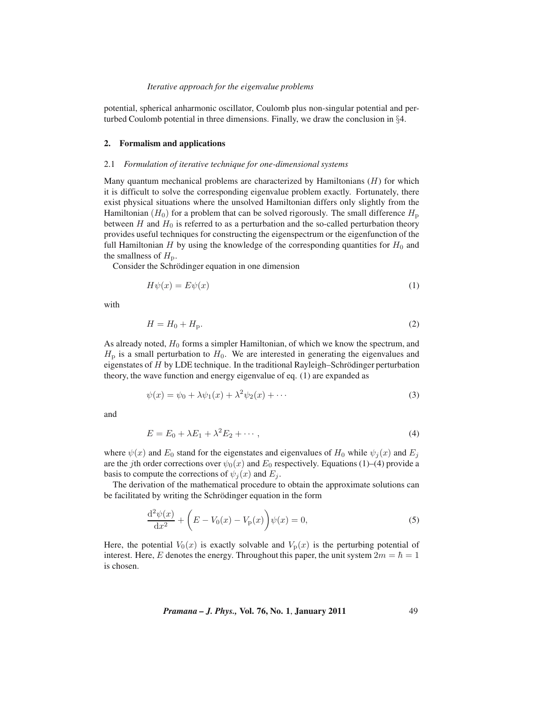potential, spherical anharmonic oscillator, Coulomb plus non-singular potential and perturbed Coulomb potential in three dimensions. Finally, we draw the conclusion in §4.

# **2. Formalism and applications**

# 2.1 *Formulation of iterative technique for one-dimensional systems*

Many quantum mechanical problems are characterized by Hamiltonians  $(H)$  for which it is difficult to solve the corresponding eigenvalue problem exactly. Fortunately, there exist physical situations where the unsolved Hamiltonian differs only slightly from the Hamiltonian ( $H_0$ ) for a problem that can be solved rigorously. The small difference  $H_p$ between H and  $H_0$  is referred to as a perturbation and the so-called perturbation theory provides useful techniques for constructing the eigenspectrum or the eigenfunction of the full Hamiltonian  $H$  by using the knowledge of the corresponding quantities for  $H_0$  and the smallness of  $H<sub>p</sub>$ .

Consider the Schrödinger equation in one dimension

$$
H\psi(x) = E\psi(x) \tag{1}
$$

with

$$
H = H_0 + H_p. \tag{2}
$$

As already noted,  $H_0$  forms a simpler Hamiltonian, of which we know the spectrum, and  $H<sub>p</sub>$  is a small perturbation to  $H<sub>0</sub>$ . We are interested in generating the eigenvalues and eigenstates of  $H$  by LDE technique. In the traditional Rayleigh–Schrödinger perturbation theory, the wave function and energy eigenvalue of eq. (1) are expanded as

$$
\psi(x) = \psi_0 + \lambda \psi_1(x) + \lambda^2 \psi_2(x) + \cdots
$$
\n(3)

and

$$
E = E_0 + \lambda E_1 + \lambda^2 E_2 + \cdots, \qquad (4)
$$

where  $\psi(x)$  and  $E_0$  stand for the eigenstates and eigenvalues of  $H_0$  while  $\psi_j(x)$  and  $E_j$ are the jth order corrections over  $\psi_0(x)$  and  $E_0$  respectively. Equations (1)–(4) provide a basis to compute the corrections of  $\psi_i(x)$  and  $E_i$ .

The derivation of the mathematical procedure to obtain the approximate solutions can be facilitated by writing the Schrödinger equation in the form

$$
\frac{d^2\psi(x)}{dx^2} + \left(E - V_0(x) - V_p(x)\right)\psi(x) = 0,
$$
\n(5)

Here, the potential  $V_0(x)$  is exactly solvable and  $V_p(x)$  is the perturbing potential of interest. Here, E denotes the energy. Throughout this paper, the unit system  $2m = \hbar = 1$ is chosen.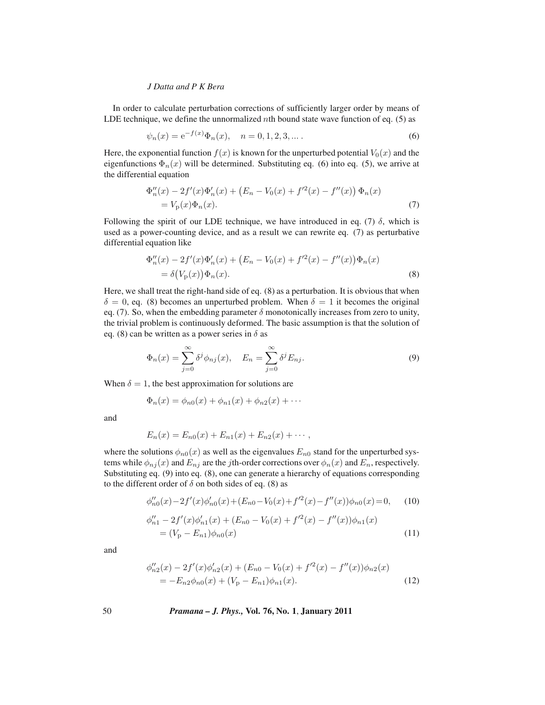In order to calculate perturbation corrections of sufficiently larger order by means of LDE technique, we define the unnormalized nth bound state wave function of eq.  $(5)$  as

$$
\psi_n(x) = e^{-f(x)} \Phi_n(x), \quad n = 0, 1, 2, 3, \dots.
$$
 (6)

Here, the exponential function  $f(x)$  is known for the unperturbed potential  $V_0(x)$  and the eigenfunctions  $\Phi_n(x)$  will be determined. Substituting eq. (6) into eq. (5), we arrive at the differential equation

$$
\Phi''_n(x) - 2f'(x)\Phi'_n(x) + (E_n - V_0(x) + f'^2(x) - f''(x))\Phi_n(x)
$$
  
=  $V_p(x)\Phi_n(x)$ . (7)

Following the spirit of our LDE technique, we have introduced in eq. (7)  $\delta$ , which is used as a power-counting device, and as a result we can rewrite eq. (7) as perturbative differential equation like

$$
\Phi''_n(x) - 2f'(x)\Phi'_n(x) + (E_n - V_0(x) + f'^2(x) - f''(x))\Phi_n(x)
$$
  
=  $\delta(V_p(x))\Phi_n(x)$ . (8)

Here, we shall treat the right-hand side of eq. (8) as a perturbation. It is obvious that when  $\delta = 0$ , eq. (8) becomes an unperturbed problem. When  $\delta = 1$  it becomes the original eq. (7). So, when the embedding parameter  $\delta$  monotonically increases from zero to unity, the trivial problem is continuously deformed. The basic assumption is that the solution of eq. (8) can be written as a power series in  $\delta$  as

$$
\Phi_n(x) = \sum_{j=0}^{\infty} \delta^j \phi_{nj}(x), \quad E_n = \sum_{j=0}^{\infty} \delta^j E_{nj}.
$$
\n(9)

When  $\delta = 1$ , the best approximation for solutions are

$$
\Phi_n(x) = \phi_{n0}(x) + \phi_{n1}(x) + \phi_{n2}(x) + \cdots
$$

and

$$
E_n(x) = E_{n0}(x) + E_{n1}(x) + E_{n2}(x) + \cdots,
$$

where the solutions  $\phi_{n0}(x)$  as well as the eigenvalues  $E_{n0}$  stand for the unperturbed systems while  $\phi_{ni}(x)$  and  $E_{ni}$  are the jth-order corrections over  $\phi_n(x)$  and  $E_n$ , respectively. Substituting eq. (9) into eq. (8), one can generate a hierarchy of equations corresponding to the different order of  $\delta$  on both sides of eq. (8) as

$$
\phi_{n0}''(x) - 2f'(x)\phi_{n0}'(x) + (E_{n0} - V_0(x) + f'^2(x) - f''(x))\phi_{n0}(x) = 0,\qquad(10)
$$

$$
\phi_{n1}'' - 2f'(x)\phi_{n1}'(x) + (E_{n0} - V_0(x) + f'^2(x) - f''(x))\phi_{n1}(x)
$$
  
=  $(V_p - E_{n1})\phi_{n0}(x)$  (11)

and

$$
\phi_{n2}''(x) - 2f'(x)\phi_{n2}'(x) + (E_{n0} - V_0(x) + f'^2(x) - f''(x))\phi_{n2}(x)
$$
  
= 
$$
-E_{n2}\phi_{n0}(x) + (V_p - E_{n1})\phi_{n1}(x).
$$
 (12)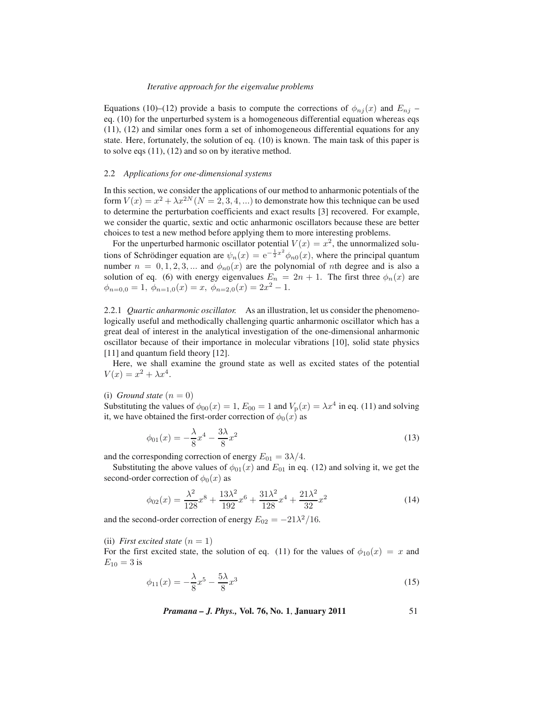Equations (10)–(12) provide a basis to compute the corrections of  $\phi_{nj}(x)$  and  $E_{nj}$  – eq. (10) for the unperturbed system is a homogeneous differential equation whereas eqs (11), (12) and similar ones form a set of inhomogeneous differential equations for any state. Here, fortunately, the solution of eq. (10) is known. The main task of this paper is to solve eqs (11), (12) and so on by iterative method.

# 2.2 *Applications for one-dimensional systems*

In this section, we consider the applications of our method to anharmonic potentials of the form  $V(x) = x^2 + \lambda x^{2N}$   $(N = 2, 3, 4, ...)$  to demonstrate how this technique can be used to determine the perturbation coefficients and exact results [3] recovered. For example, we consider the quartic, sextic and octic anharmonic oscillators because these are better choices to test a new method before applying them to more interesting problems.

For the unperturbed harmonic oscillator potential  $V(x) = x^2$ , the unnormalized solutions of Schrödinger equation are  $\psi_n(x)=e^{-\frac{1}{2}x^2}\phi_{n0}(x)$ , where the principal quantum number  $n = 0, 1, 2, 3, ...$  and  $\phi_{n0}(x)$  are the polynomial of *n*th degree and is also a solution of eq. (6) with energy eigenvalues  $E_n = 2n + 1$ . The first three  $\phi_n(x)$  are  $\phi_{n=0,0} = 1, \ \phi_{n=1,0}(x) = x, \ \phi_{n=2,0}(x) = 2x^2 - 1.$ 

2.2.1 *Quartic anharmonic oscillator.* As an illustration, let us consider the phenomenologically useful and methodically challenging quartic anharmonic oscillator which has a great deal of interest in the analytical investigation of the one-dimensional anharmonic oscillator because of their importance in molecular vibrations [10], solid state physics [11] and quantum field theory [12].

Here, we shall examine the ground state as well as excited states of the potential  $V(x) = x^2 + \lambda x^4.$ 

# (i) *Ground state*  $(n = 0)$

Substituting the values of  $\phi_{00}(x)=1$ ,  $E_{00}=1$  and  $V_{p}(x) = \lambda x^{4}$  in eq. (11) and solving it, we have obtained the first-order correction of  $\phi_0(x)$  as

$$
\phi_{01}(x) = -\frac{\lambda}{8}x^4 - \frac{3\lambda}{8}x^2\tag{13}
$$

and the corresponding correction of energy  $E_{01} = 3\lambda/4$ .

Substituting the above values of  $\phi_{01}(x)$  and  $E_{01}$  in eq. (12) and solving it, we get the second-order correction of  $\phi_0(x)$  as

$$
\phi_{02}(x) = \frac{\lambda^2}{128}x^8 + \frac{13\lambda^2}{192}x^6 + \frac{31\lambda^2}{128}x^4 + \frac{21\lambda^2}{32}x^2 \tag{14}
$$

and the second-order correction of energy  $E_{02} = -21\lambda^2/16$ .

(ii) *First excited state*  $(n = 1)$ 

For the first excited state, the solution of eq. (11) for the values of  $\phi_{10}(x) = x$  and  $E_{10} = 3$  is

$$
\phi_{11}(x) = -\frac{\lambda}{8}x^5 - \frac{5\lambda}{8}x^3\tag{15}
$$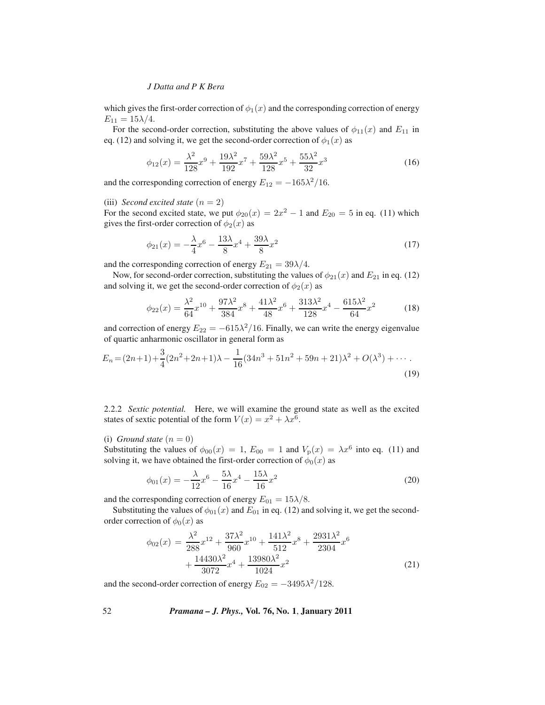which gives the first-order correction of  $\phi_1(x)$  and the corresponding correction of energy  $E_{11} = 15\lambda/4.$ 

For the second-order correction, substituting the above values of  $\phi_{11}(x)$  and  $E_{11}$  in eq. (12) and solving it, we get the second-order correction of  $\phi_1(x)$  as

$$
\phi_{12}(x) = \frac{\lambda^2}{128}x^9 + \frac{19\lambda^2}{192}x^7 + \frac{59\lambda^2}{128}x^5 + \frac{55\lambda^2}{32}x^3\tag{16}
$$

and the corresponding correction of energy  $E_{12} = -165\lambda^2/16$ .

#### (iii) *Second excited state*  $(n = 2)$

For the second excited state, we put  $\phi_{20}(x)=2x^2 - 1$  and  $E_{20} = 5$  in eq. (11) which gives the first-order correction of  $\phi_2(x)$  as

$$
\phi_{21}(x) = -\frac{\lambda}{4}x^6 - \frac{13\lambda}{8}x^4 + \frac{39\lambda}{8}x^2\tag{17}
$$

and the corresponding correction of energy  $E_{21} = 39\lambda/4$ .

Now, for second-order correction, substituting the values of  $\phi_{21}(x)$  and  $E_{21}$  in eq. (12) and solving it, we get the second-order correction of  $\phi_2(x)$  as

$$
\phi_{22}(x) = \frac{\lambda^2}{64}x^{10} + \frac{97\lambda^2}{384}x^8 + \frac{41\lambda^2}{48}x^6 + \frac{313\lambda^2}{128}x^4 - \frac{615\lambda^2}{64}x^2 \tag{18}
$$

and correction of energy  $E_{22} = -615\lambda^2/16$ . Finally, we can write the energy eigenvalue of quartic anharmonic oscillator in general form as

$$
E_n = (2n+1) + \frac{3}{4}(2n^2 + 2n + 1)\lambda - \frac{1}{16}(34n^3 + 51n^2 + 59n + 21)\lambda^2 + O(\lambda^3) + \cdots
$$
\n(19)

2.2.2 *Sextic potential.* Here, we will examine the ground state as well as the excited states of sextic potential of the form  $V(x) = x^2 + \lambda x^6$ .

(i) *Ground state*  $(n = 0)$ 

Substituting the values of  $\phi_{00}(x)=1$ ,  $E_{00} = 1$  and  $V_p(x) = \lambda x^6$  into eq. (11) and solving it, we have obtained the first-order correction of  $\phi_0(x)$  as

$$
\phi_{01}(x) = -\frac{\lambda}{12}x^6 - \frac{5\lambda}{16}x^4 - \frac{15\lambda}{16}x^2
$$
\n(20)

and the corresponding correction of energy  $E_{01} = 15\lambda/8$ .

Substituting the values of  $\phi_{01}(x)$  and  $E_{01}$  in eq. (12) and solving it, we get the secondorder correction of  $\phi_0(x)$  as

$$
\phi_{02}(x) = \frac{\lambda^2}{288}x^{12} + \frac{37\lambda^2}{960}x^{10} + \frac{141\lambda^2}{512}x^8 + \frac{2931\lambda^2}{2304}x^6 + \frac{14430\lambda^2}{3072}x^4 + \frac{13980\lambda^2}{1024}x^2
$$
\n(21)

and the second-order correction of energy  $E_{02} = -3495\lambda^2/128$ .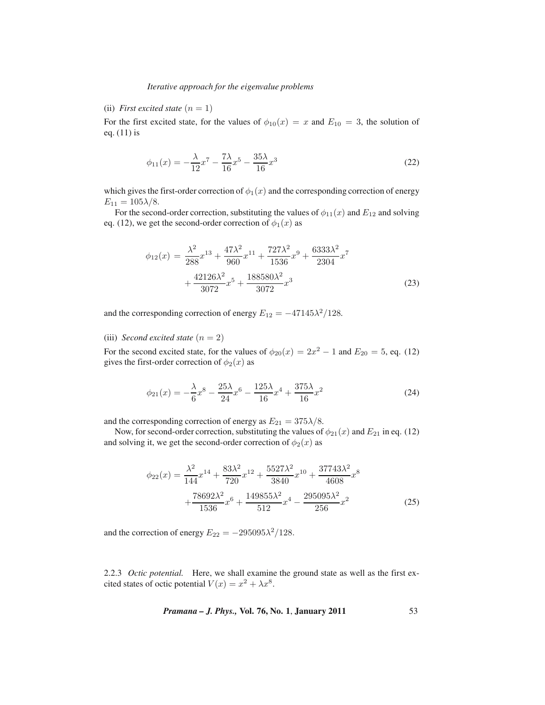# (ii) *First excited state*  $(n = 1)$

For the first excited state, for the values of  $\phi_{10}(x) = x$  and  $E_{10} = 3$ , the solution of eq. (11) is

$$
\phi_{11}(x) = -\frac{\lambda}{12}x^7 - \frac{7\lambda}{16}x^5 - \frac{35\lambda}{16}x^3\tag{22}
$$

which gives the first-order correction of  $\phi_1(x)$  and the corresponding correction of energy  $E_{11} = 105\lambda/8.$ 

For the second-order correction, substituting the values of  $\phi_{11}(x)$  and  $E_{12}$  and solving eq. (12), we get the second-order correction of  $\phi_1(x)$  as

$$
\phi_{12}(x) = \frac{\lambda^2}{288}x^{13} + \frac{47\lambda^2}{960}x^{11} + \frac{727\lambda^2}{1536}x^9 + \frac{6333\lambda^2}{2304}x^7 + \frac{42126\lambda^2}{3072}x^5 + \frac{188580\lambda^2}{3072}x^3
$$
\n(23)

and the corresponding correction of energy  $E_{12} = -47145\lambda^2/128$ .

(iii) *Second excited state*  $(n = 2)$ 

For the second excited state, for the values of  $\phi_{20}(x)=2x^2 - 1$  and  $E_{20} = 5$ , eq. (12) gives the first-order correction of  $\phi_2(x)$  as

$$
\phi_{21}(x) = -\frac{\lambda}{6}x^8 - \frac{25\lambda}{24}x^6 - \frac{125\lambda}{16}x^4 + \frac{375\lambda}{16}x^2 \tag{24}
$$

and the corresponding correction of energy as  $E_{21} = 375\lambda/8$ .

Now, for second-order correction, substituting the values of  $\phi_{21}(x)$  and  $E_{21}$  in eq. (12) and solving it, we get the second-order correction of  $\phi_2(x)$  as

$$
\phi_{22}(x) = \frac{\lambda^2}{144}x^{14} + \frac{83\lambda^2}{720}x^{12} + \frac{5527\lambda^2}{3840}x^{10} + \frac{37743\lambda^2}{4608}x^8 + \frac{78692\lambda^2}{1536}x^6 + \frac{149855\lambda^2}{512}x^4 - \frac{295095\lambda^2}{256}x^2 \tag{25}
$$

and the correction of energy  $E_{22} = -295095\lambda^2/128$ .

2.2.3 *Octic potential.* Here, we shall examine the ground state as well as the first excited states of octic potential  $V(x) = x^2 + \lambda x^8$ .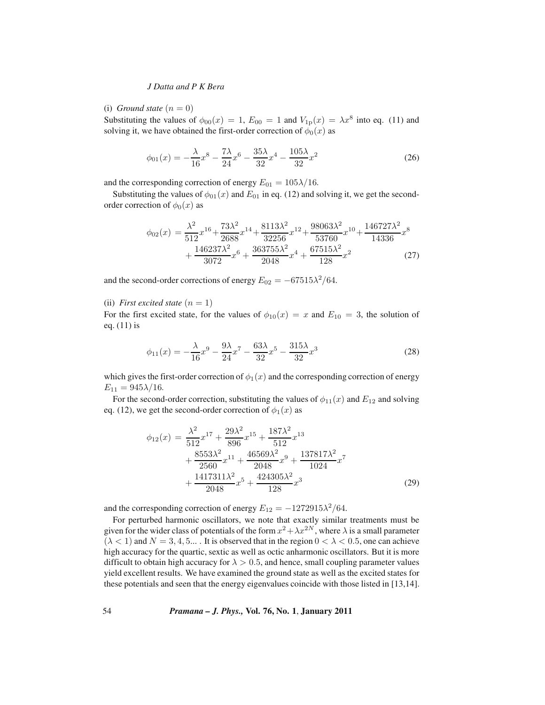(i) *Ground state*  $(n = 0)$ 

Substituting the values of  $\phi_{00}(x)=1$ ,  $E_{00} = 1$  and  $V_{1p}(x) = \lambda x^8$  into eq. (11) and solving it, we have obtained the first-order correction of  $\phi_0(x)$  as

$$
\phi_{01}(x) = -\frac{\lambda}{16}x^8 - \frac{7\lambda}{24}x^6 - \frac{35\lambda}{32}x^4 - \frac{105\lambda}{32}x^2 \tag{26}
$$

and the corresponding correction of energy  $E_{01} = 105\lambda/16$ .

Substituting the values of  $\phi_{01}(x)$  and  $E_{01}$  in eq. (12) and solving it, we get the secondorder correction of  $\phi_0(x)$  as

$$
\phi_{02}(x) = \frac{\lambda^2}{512}x^{16} + \frac{73\lambda^2}{2688}x^{14} + \frac{8113\lambda^2}{32256}x^{12} + \frac{98063\lambda^2}{53760}x^{10} + \frac{146727\lambda^2}{14336}x^8 + \frac{146237\lambda^2}{3072}x^6 + \frac{363755\lambda^2}{2048}x^4 + \frac{67515\lambda^2}{128}x^2 \tag{27}
$$

and the second-order corrections of energy  $E_{02} = -67515\lambda^2/64$ .

# (ii) *First excited state*  $(n = 1)$

For the first excited state, for the values of  $\phi_{10}(x) = x$  and  $E_{10} = 3$ , the solution of eq. (11) is

$$
\phi_{11}(x) = -\frac{\lambda}{16}x^9 - \frac{9\lambda}{24}x^7 - \frac{63\lambda}{32}x^5 - \frac{315\lambda}{32}x^3 \tag{28}
$$

which gives the first-order correction of  $\phi_1(x)$  and the corresponding correction of energy  $E_{11} = 945\lambda/16.$ 

For the second-order correction, substituting the values of  $\phi_{11}(x)$  and  $E_{12}$  and solving eq. (12), we get the second-order correction of  $\phi_1(x)$  as

$$
\phi_{12}(x) = \frac{\lambda^2}{512}x^{17} + \frac{29\lambda^2}{896}x^{15} + \frac{187\lambda^2}{512}x^{13} \n+ \frac{8553\lambda^2}{2560}x^{11} + \frac{46569\lambda^2}{2048}x^9 + \frac{137817\lambda^2}{1024}x^7 \n+ \frac{1417311\lambda^2}{2048}x^5 + \frac{424305\lambda^2}{128}x^3
$$
\n(29)

and the corresponding correction of energy  $E_{12} = -1272915\lambda^2/64$ .

For perturbed harmonic oscillators, we note that exactly similar treatments must be given for the wider class of potentials of the form  $x^2 + \lambda x^{2N}$ , where  $\lambda$  is a small parameter  $(\lambda < 1)$  and  $N = 3, 4, 5...$ . It is observed that in the region  $0 < \lambda < 0.5$ , one can achieve high accuracy for the quartic, sextic as well as octic anharmonic oscillators. But it is more difficult to obtain high accuracy for  $\lambda > 0.5$ , and hence, small coupling parameter values yield excellent results. We have examined the ground state as well as the excited states for these potentials and seen that the energy eigenvalues coincide with those listed in [13,14].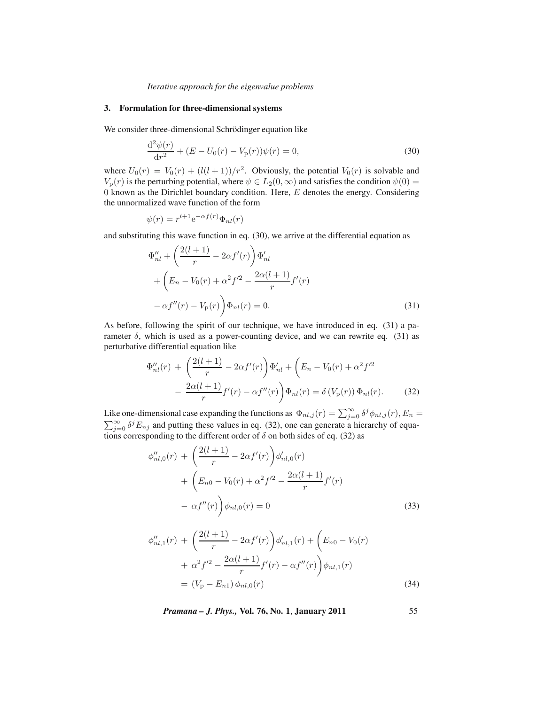## **3. Formulation for three-dimensional systems**

We consider three-dimensional Schrödinger equation like

$$
\frac{\mathrm{d}^2\psi(r)}{\mathrm{d}r^2} + (E - U_0(r) - V_\mathrm{p}(r))\psi(r) = 0,\tag{30}
$$

where  $U_0(r) = V_0(r) + (l(l + 1))/r^2$ . Obviously, the potential  $V_0(r)$  is solvable and  $V_p(r)$  is the perturbing potential, where  $\psi \in L_2(0,\infty)$  and satisfies the condition  $\psi(0)$  =  $\overline{0}$  known as the Dirichlet boundary condition. Here, E denotes the energy. Considering the unnormalized wave function of the form

$$
\psi(r) = r^{l+1} e^{-\alpha f(r)} \Phi_{nl}(r)
$$

and substituting this wave function in eq. (30), we arrive at the differential equation as

$$
\Phi_{nl}'' + \left(\frac{2(l+1)}{r} - 2\alpha f'(r)\right) \Phi_{nl}'\n+ \left(E_n - V_0(r) + \alpha^2 f'^2 - \frac{2\alpha(l+1)}{r} f'(r)\n- \alpha f''(r) - V_p(r)\right) \Phi_{nl}(r) = 0.
$$
\n(31)

As before, following the spirit of our technique, we have introduced in eq. (31) a parameter  $\delta$ , which is used as a power-counting device, and we can rewrite eq. (31) as perturbative differential equation like

$$
\Phi_{nl}''(r) + \left(\frac{2(l+1)}{r} - 2\alpha f'(r)\right)\Phi_{nl}' + \left(E_n - V_0(r) + \alpha^2 f'^2 - \frac{2\alpha(l+1)}{r}f'(r) - \alpha f''(r)\right)\Phi_{nl}(r) = \delta(V_p(r))\Phi_{nl}(r).
$$
 (32)

Like one-dimensional case expanding the functions as  $\Phi_{nl,j}(r) = \sum_{j=0}^{\infty} \delta^j \phi_{nl,j}(r)$ ,  $E_n =$  $\sum_{j=0}^{\infty} \delta^j E_{nj}$  and putting these values in eq. (32), one can generate a hierarchy of equations corresponding to the different order of  $\delta$  on both sides of eq. (32) as

$$
\phi''_{nl,0}(r) + \left(\frac{2(l+1)}{r} - 2\alpha f'(r)\right)\phi'_{nl,0}(r) \n+ \left(E_{n0} - V_0(r) + \alpha^2 f'^2 - \frac{2\alpha(l+1)}{r}f'(r) - \alpha f''(r)\right)\phi_{nl,0}(r) = 0
$$
\n(33)

$$
\phi_{nl,1}''(r) + \left(\frac{2(l+1)}{r} - 2\alpha f'(r)\right)\phi_{nl,1}'(r) + \left(E_{n0} - V_0(r)\right) + \alpha^2 f'^2 - \frac{2\alpha(l+1)}{r}f'(r) - \alpha f''(r)\phi_{nl,1}(r)
$$

$$
= (V_p - E_{n1})\phi_{nl,0}(r) \tag{34}
$$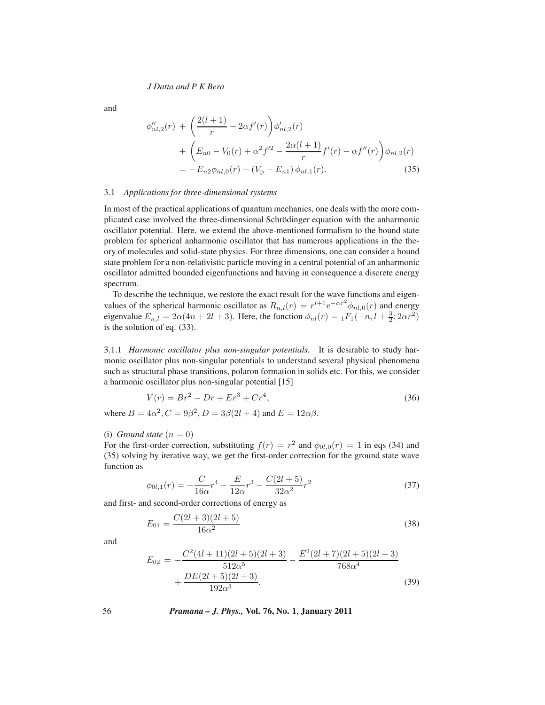and

$$
\phi_{nl,2}''(r) + \left(\frac{2(l+1)}{r} - 2\alpha f'(r)\right)\phi_{nl,2}'(r) \n+ \left(E_{n0} - V_0(r) + \alpha^2 f'^2 - \frac{2\alpha(l+1)}{r}f'(r) - \alpha f''(r)\right)\phi_{nl,2}(r) \n= -E_{n2}\phi_{nl,0}(r) + (V_{\rm p} - E_{n1})\phi_{nl,1}(r).
$$
\n(35)

#### 3.1 *Applications for three-dimensional systems*

In most of the practical applications of quantum mechanics, one deals with the more complicated case involved the three-dimensional Schrödinger equation with the anharmonic oscillator potential. Here, we extend the above-mentioned formalism to the bound state problem for spherical anharmonic oscillator that has numerous applications in the theory of molecules and solid-state physics. For three dimensions, one can consider a bound state problem for a non-relativistic particle moving in a central potential of an anharmonic oscillator admitted bounded eigenfunctions and having in consequence a discrete energy spectrum.

To describe the technique, we restore the exact result for the wave functions and eigenvalues of the spherical harmonic oscillator as  $R_{n,l}(r) = r^{l+1} e^{-\alpha r^2} \phi_{nl,0}(r)$  and energy eigenvalue  $E_{n,l} = 2\alpha(4n + 2l + 3)$ . Here, the function  $\phi_{nl}(r) = {}_1F_1(-n, l + \frac{3}{2}; 2\alpha r^2)$ is the solution of eq. (33).

3.1.1 *Harmonic oscillator plus non-singular potentials.* It is desirable to study harmonic oscillator plus non-singular potentials to understand several physical phenomena such as structural phase transitions, polaron formation in solids etc. For this, we consider a harmonic oscillator plus non-singular potential [15]

$$
V(r) = Br^2 - Dr + Er^3 + Cr^4,
$$
\n(36)

where  $B = 4\alpha^2$ ,  $C = 9\beta^2$ ,  $D = 3\beta(2l + 4)$  and  $E = 12\alpha\beta$ .

(i) *Ground state*  $(n = 0)$ 

For the first-order correction, substituting  $f(r) = r^2$  and  $\phi_{0l,0}(r) = 1$  in eqs (34) and (35) solving by iterative way, we get the first-order correction for the ground state wave function as

$$
\phi_{0l,1}(r) = -\frac{C}{16\alpha}r^4 - \frac{E}{12\alpha}r^3 - \frac{C(2l+5)}{32\alpha^2}r^2
$$
\n(37)

and first- and second-order corrections of energy as

$$
E_{01} = \frac{C(2l+3)(2l+5)}{16\alpha^2} \tag{38}
$$

and

$$
E_{02} = -\frac{C^2(4l+11)(2l+5)(2l+3)}{512\alpha^5} - \frac{E^2(2l+7)(2l+5)(2l+3)}{768\alpha^4} + \frac{DE(2l+5)(2l+3)}{192\alpha^3} \tag{39}
$$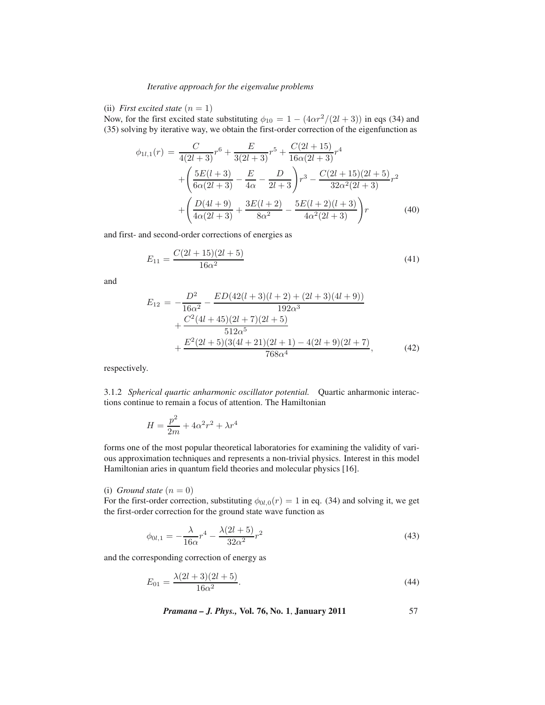# (ii) *First excited state*  $(n = 1)$

Now, for the first excited state substituting  $\phi_{10} = 1 - (4\alpha r^2/(2l+3))$  in eqs (34) and (35) solving by iterative way, we obtain the first-order correction of the eigenfunction as

$$
\phi_{1l,1}(r) = \frac{C}{4(2l+3)}r^6 + \frac{E}{3(2l+3)}r^5 + \frac{C(2l+15)}{16\alpha(2l+3)}r^4
$$

$$
+ \left(\frac{5E(l+3)}{6\alpha(2l+3)} - \frac{E}{4\alpha} - \frac{D}{2l+3}\right)r^3 - \frac{C(2l+15)(2l+5)}{32\alpha^2(2l+3)}r^2
$$

$$
+ \left(\frac{D(4l+9)}{4\alpha(2l+3)} + \frac{3E(l+2)}{8\alpha^2} - \frac{5E(l+2)(l+3)}{4\alpha^2(2l+3)}\right)r
$$
(40)

and first- and second-order corrections of energies as

$$
E_{11} = \frac{C(2l+15)(2l+5)}{16\alpha^2} \tag{41}
$$

and

$$
E_{12} = -\frac{D^2}{16\alpha^2} - \frac{ED(42(l+3)(l+2) + (2l+3)(4l+9))}{192\alpha^3} + \frac{C^2(4l+45)(2l+7)(2l+5)}{512\alpha^5} + \frac{E^2(2l+5)(3(4l+21)(2l+1) - 4(2l+9)(2l+7)}{768\alpha^4},
$$
(42)

respectively.

3.1.2 *Spherical quartic anharmonic oscillator potential.* Quartic anharmonic interactions continue to remain a focus of attention. The Hamiltonian

$$
H = \frac{p^2}{2m} + 4\alpha^2 r^2 + \lambda r^4
$$

forms one of the most popular theoretical laboratories for examining the validity of various approximation techniques and represents a non-trivial physics. Interest in this model Hamiltonian aries in quantum field theories and molecular physics [16].

(i) *Ground state*  $(n = 0)$ 

For the first-order correction, substituting  $\phi_{0l,0}(r)=1$  in eq. (34) and solving it, we get the first-order correction for the ground state wave function as

$$
\phi_{0l,1} = -\frac{\lambda}{16\alpha}r^4 - \frac{\lambda(2l+5)}{32\alpha^2}r^2\tag{43}
$$

and the corresponding correction of energy as

$$
E_{01} = \frac{\lambda(2l+3)(2l+5)}{16\alpha^2}.
$$
\n(44)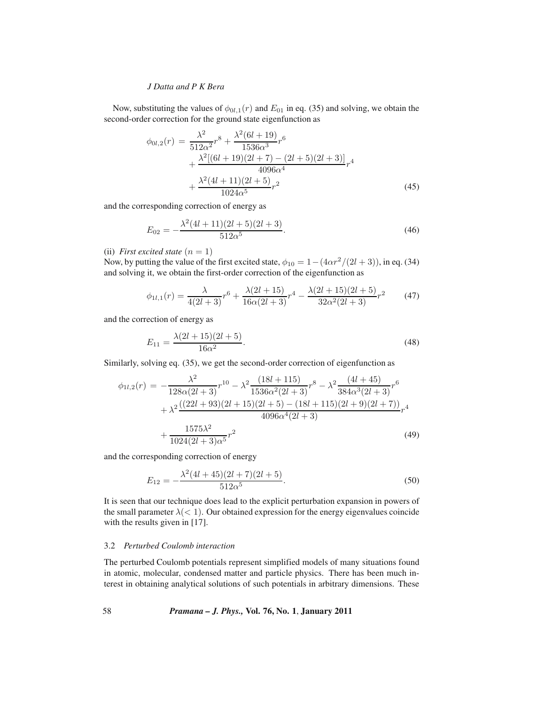Now, substituting the values of  $\phi_{0l,1}(r)$  and  $E_{01}$  in eq. (35) and solving, we obtain the second-order correction for the ground state eigenfunction as

$$
\phi_{0l,2}(r) = \frac{\lambda^2}{512\alpha^2}r^8 + \frac{\lambda^2(6l+19)}{1536\alpha^3}r^6
$$
  
+ 
$$
\frac{\lambda^2[(6l+19)(2l+7) - (2l+5)(2l+3)]}{4096\alpha^4}r^4
$$
  
+ 
$$
\frac{\lambda^2(4l+11)(2l+5)}{1024\alpha^5}r^2
$$
(45)

and the corresponding correction of energy as

$$
E_{02} = -\frac{\lambda^2 (4l+11)(2l+5)(2l+3)}{512\alpha^5}.
$$
\n(46)

(ii) *First excited state*  $(n = 1)$ 

Now, by putting the value of the first excited state,  $\phi_{10} = 1 - (4\alpha r^2/(2l+3))$ , in eq. (34) and solving it, we obtain the first-order correction of the eigenfunction as

$$
\phi_{1l,1}(r) = \frac{\lambda}{4(2l+3)}r^6 + \frac{\lambda(2l+15)}{16\alpha(2l+3)}r^4 - \frac{\lambda(2l+15)(2l+5)}{32\alpha^2(2l+3)}r^2 \tag{47}
$$

and the correction of energy as

$$
E_{11} = \frac{\lambda(2l+15)(2l+5)}{16\alpha^2}.
$$
\n(48)

Similarly, solving eq. (35), we get the second-order correction of eigenfunction as

$$
\phi_{1l,2}(r) = -\frac{\lambda^2}{128\alpha(2l+3)}r^{10} - \lambda^2 \frac{(18l+115)}{1536\alpha^2(2l+3)}r^8 - \lambda^2 \frac{(4l+45)}{384\alpha^3(2l+3)}r^6
$$
  
+ 
$$
\lambda^2 \frac{((22l+93)(2l+15)(2l+5) - (18l+115)(2l+9)(2l+7))}{4096\alpha^4(2l+3)}r^4
$$
  
+ 
$$
\frac{1575\lambda^2}{1024(2l+3)\alpha^5}r^2
$$
(49)

and the corresponding correction of energy

$$
E_{12} = -\frac{\lambda^2 (4l + 45)(2l + 7)(2l + 5)}{512\alpha^5}.
$$
\n(50)

It is seen that our technique does lead to the explicit perturbation expansion in powers of the small parameter  $\lambda$ (< 1). Our obtained expression for the energy eigenvalues coincide with the results given in [17].

# 3.2 *Perturbed Coulomb interaction*

The perturbed Coulomb potentials represent simplified models of many situations found in atomic, molecular, condensed matter and particle physics. There has been much interest in obtaining analytical solutions of such potentials in arbitrary dimensions. These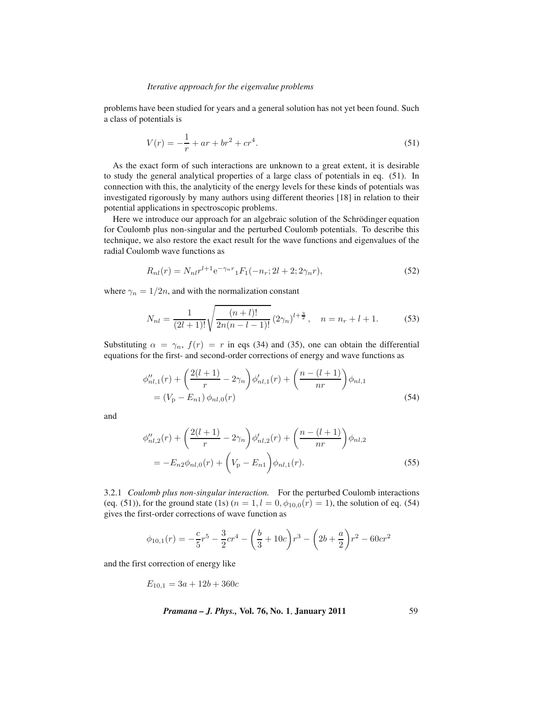problems have been studied for years and a general solution has not yet been found. Such a class of potentials is

$$
V(r) = -\frac{1}{r} + ar + br^2 + cr^4.
$$
 (51)

As the exact form of such interactions are unknown to a great extent, it is desirable to study the general analytical properties of a large class of potentials in eq. (51). In connection with this, the analyticity of the energy levels for these kinds of potentials was investigated rigorously by many authors using different theories [18] in relation to their potential applications in spectroscopic problems.

Here we introduce our approach for an algebraic solution of the Schrödinger equation for Coulomb plus non-singular and the perturbed Coulomb potentials. To describe this technique, we also restore the exact result for the wave functions and eigenvalues of the radial Coulomb wave functions as

$$
R_{nl}(r) = N_{nl}r^{l+1}e^{-\gamma_n r} {}_1F_1(-n_r; 2l+2; 2\gamma_n r), \tag{52}
$$

where  $\gamma_n = 1/2n$ , and with the normalization constant

$$
N_{nl} = \frac{1}{(2l+1)!} \sqrt{\frac{(n+l)!}{2n(n-l-1)!}} (2\gamma_n)^{l+\frac{3}{2}}, \quad n = n_r + l + 1. \tag{53}
$$

Substituting  $\alpha = \gamma_n$ ,  $f(r) = r$  in eqs (34) and (35), one can obtain the differential equations for the first- and second-order corrections of energy and wave functions as

$$
\phi''_{nl,1}(r) + \left(\frac{2(l+1)}{r} - 2\gamma_n\right)\phi'_{nl,1}(r) + \left(\frac{n - (l+1)}{nr}\right)\phi_{nl,1}
$$
  
=  $(V_p - E_{n1})\phi_{nl,0}(r)$  (54)

and

$$
\phi_{nl,2}''(r) + \left(\frac{2(l+1)}{r} - 2\gamma_n\right)\phi_{nl,2}'(r) + \left(\frac{n - (l+1)}{nr}\right)\phi_{nl,2}
$$

$$
= -E_{n2}\phi_{nl,0}(r) + \left(V_p - E_{n1}\right)\phi_{nl,1}(r).
$$
(55)

3.2.1 *Coulomb plus non-singular interaction.* For the perturbed Coulomb interactions (eq. (51)), for the ground state (1s) ( $n = 1, l = 0, \phi_{10,0}(r) = 1$ ), the solution of eq. (54) gives the first-order corrections of wave function as

$$
\phi_{10,1}(r) = -\frac{c}{5}r^5 - \frac{3}{2}cr^4 - \left(\frac{b}{3} + 10c\right)r^3 - \left(2b + \frac{a}{2}\right)r^2 - 60cr^2
$$

and the first correction of energy like

$$
E_{10,1} = 3a + 12b + 360c
$$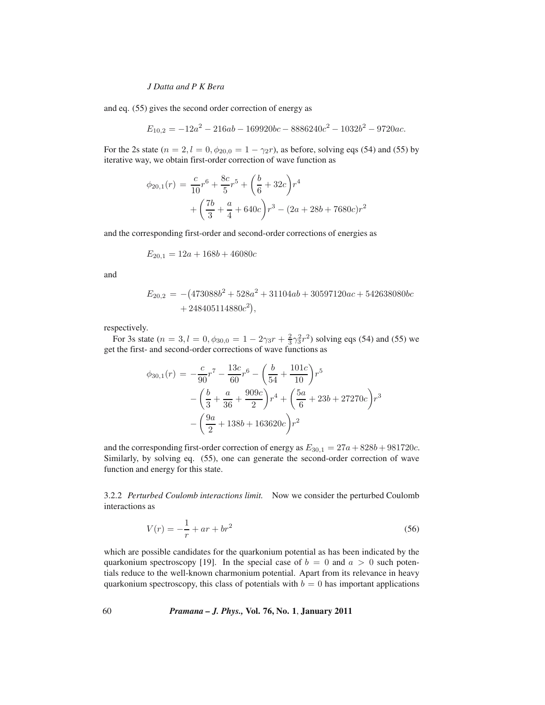and eq. (55) gives the second order correction of energy as

$$
E_{10,2} = -12a^2 - 216ab - 169920bc - 8886240c^2 - 1032b^2 - 9720ac.
$$

For the 2s state ( $n = 2, l = 0, \phi_{20,0} = 1 - \gamma_2 r$ ), as before, solving eqs (54) and (55) by iterative way, we obtain first-order correction of wave function as

$$
\phi_{20,1}(r) = \frac{c}{10}r^6 + \frac{8c}{5}r^5 + \left(\frac{b}{6} + 32c\right)r^4
$$

$$
+ \left(\frac{7b}{3} + \frac{a}{4} + 640c\right)r^3 - (2a + 28b + 7680c)r^2
$$

and the corresponding first-order and second-order corrections of energies as

$$
E_{20,1} = 12a + 168b + 46080c
$$

and

$$
E_{20,2} = -(473088b2 + 528a2 + 31104ab + 30597120ac + 542638080bc + 248405114880c2),
$$

respectively.

For 3s state ( $n = 3, l = 0, \phi_{30,0} = 1 - 2\gamma_3 r + \frac{2}{3}\gamma_3^2 r^2$ ) solving eqs (54) and (55) we get the first- and second-order corrections of wave functions as

$$
\phi_{30,1}(r) = -\frac{c}{90}r^7 - \frac{13c}{60}r^6 - \left(\frac{b}{54} + \frac{101c}{10}\right)r^5 - \left(\frac{b}{3} + \frac{a}{36} + \frac{909c}{2}\right)r^4 + \left(\frac{5a}{6} + 23b + 27270c\right)r^3 - \left(\frac{9a}{2} + 138b + 163620c\right)r^2
$$

and the corresponding first-order correction of energy as  $E_{30,1} = 27a + 828b + 981720c$ . Similarly, by solving eq. (55), one can generate the second-order correction of wave function and energy for this state.

3.2.2 *Perturbed Coulomb interactions limit.* Now we consider the perturbed Coulomb interactions as

$$
V(r) = -\frac{1}{r} + ar + br^2
$$
\n(56)

which are possible candidates for the quarkonium potential as has been indicated by the quarkonium spectroscopy [19]. In the special case of  $b = 0$  and  $a > 0$  such potentials reduce to the well-known charmonium potential. Apart from its relevance in heavy quarkonium spectroscopy, this class of potentials with  $b = 0$  has important applications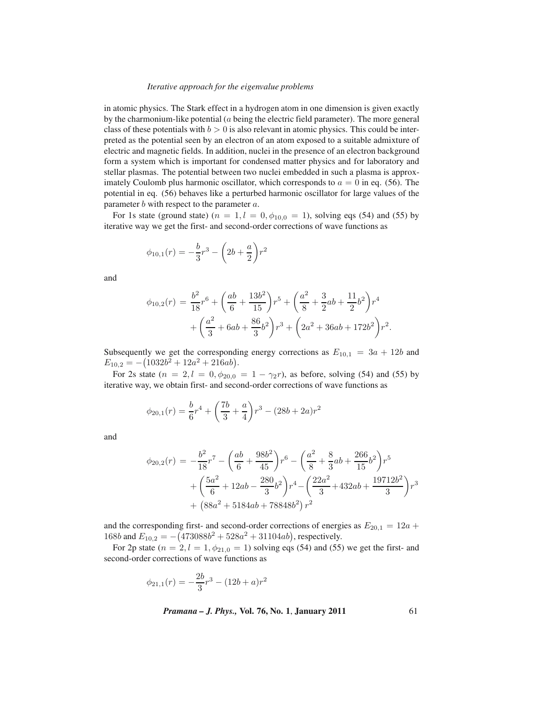in atomic physics. The Stark effect in a hydrogen atom in one dimension is given exactly by the charmonium-like potential  $(a$  being the electric field parameter). The more general class of these potentials with  $b > 0$  is also relevant in atomic physics. This could be interpreted as the potential seen by an electron of an atom exposed to a suitable admixture of electric and magnetic fields. In addition, nuclei in the presence of an electron background form a system which is important for condensed matter physics and for laboratory and stellar plasmas. The potential between two nuclei embedded in such a plasma is approximately Coulomb plus harmonic oscillator, which corresponds to  $a = 0$  in eq. (56). The potential in eq. (56) behaves like a perturbed harmonic oscillator for large values of the parameter  $b$  with respect to the parameter  $a$ .

For 1s state (ground state) ( $n = 1, l = 0, \phi_{10,0} = 1$ ), solving eqs (54) and (55) by iterative way we get the first- and second-order corrections of wave functions as

$$
\phi_{10,1}(r) = -\frac{b}{3}r^3 - \left(2b + \frac{a}{2}\right)r^2
$$

and

$$
\phi_{10,2}(r) = \frac{b^2}{18}r^6 + \left(\frac{ab}{6} + \frac{13b^2}{15}\right)r^5 + \left(\frac{a^2}{8} + \frac{3}{2}ab + \frac{11}{2}b^2\right)r^4
$$

$$
+ \left(\frac{a^2}{3} + 6ab + \frac{86}{3}b^2\right)r^3 + \left(2a^2 + 36ab + 172b^2\right)r^2.
$$

Subsequently we get the corresponding energy corrections as  $E_{10,1} = 3a + 12b$  and  $E_{10,2} = -(1032b^2 + 12a^2 + 216ab).$ 

For 2s state  $(n = 2, l = 0, \phi_{20,0} = 1 - \gamma_2 r)$ , as before, solving (54) and (55) by iterative way, we obtain first- and second-order corrections of wave functions as

$$
\phi_{20,1}(r) = \frac{b}{6}r^4 + \left(\frac{7b}{3} + \frac{a}{4}\right)r^3 - (28b + 2a)r^2
$$

and

$$
\phi_{20,2}(r) = -\frac{b^2}{18}r^7 - \left(\frac{ab}{6} + \frac{98b^2}{45}\right)r^6 - \left(\frac{a^2}{8} + \frac{8}{3}ab + \frac{266}{15}b^2\right)r^5
$$

$$
+ \left(\frac{5a^2}{6} + 12ab - \frac{280}{3}b^2\right)r^4 - \left(\frac{22a^2}{3} + 432ab + \frac{19712b^2}{3}\right)r^3
$$

$$
+ \left(88a^2 + 5184ab + 78848b^2\right)r^2
$$

and the corresponding first- and second-order corrections of energies as  $E_{20,1} = 12a +$ 168b and  $E_{10,2} = -\left(473088b^2 + 528a^2 + 31104ab\right)$ , respectively.

For 2p state  $(n = 2, l = 1, \phi_{21,0} = 1)$  solving eqs (54) and (55) we get the first- and second-order corrections of wave functions as

$$
\phi_{21,1}(r) = -\frac{2b}{3}r^3 - (12b + a)r^2
$$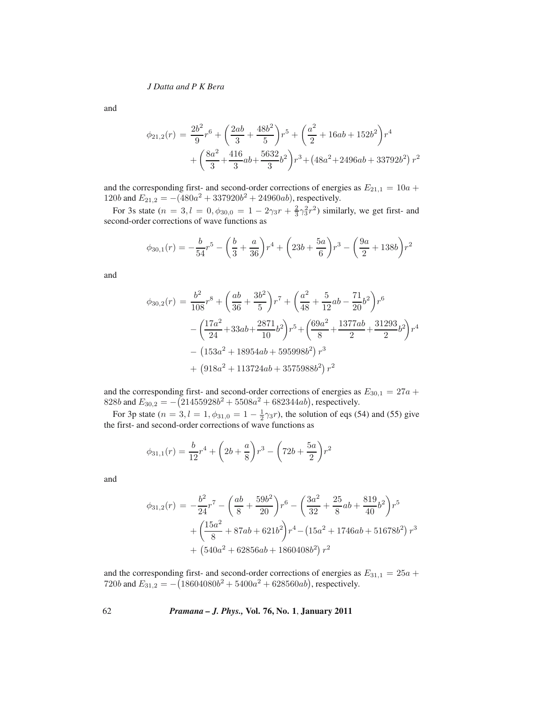and

$$
\phi_{21,2}(r) = \frac{2b^2}{9}r^6 + \left(\frac{2ab}{3} + \frac{48b^2}{5}\right)r^5 + \left(\frac{a^2}{2} + 16ab + 152b^2\right)r^4
$$

$$
+ \left(\frac{8a^2}{3} + \frac{416}{3}ab + \frac{5632}{3}b^2\right)r^3 + \left(48a^2 + 2496ab + 33792b^2\right)r^2
$$

and the corresponding first- and second-order corrections of energies as  $E_{21,1} = 10a +$ 120b and  $E_{21,2} = -(480a^2 + 337920b^2 + 24960ab)$ , respectively.

For 3s state  $(n = 3, l = 0, \phi_{30,0} = 1 - 2\gamma_3 r + \frac{2}{3}\gamma_3^2 r^2)$  similarly, we get first- and second-order corrections of wave functions as

$$
\phi_{30,1}(r) = -\frac{b}{54}r^5 - \left(\frac{b}{3} + \frac{a}{36}\right)r^4 + \left(23b + \frac{5a}{6}\right)r^3 - \left(\frac{9a}{2} + 138b\right)r^2
$$

and

$$
\phi_{30,2}(r) = \frac{b^2}{108}r^8 + \left(\frac{ab}{36} + \frac{3b^2}{5}\right)r^7 + \left(\frac{a^2}{48} + \frac{5}{12}ab - \frac{71}{20}b^2\right)r^6
$$

$$
- \left(\frac{17a^2}{24} + 33ab + \frac{2871}{10}b^2\right)r^5 + \left(\frac{69a^2}{8} + \frac{1377ab}{2} + \frac{31293}{2}b^2\right)r^4
$$

$$
- \left(153a^2 + 18954ab + 595998b^2\right)r^3
$$

$$
+ \left(918a^2 + 113724ab + 3575988b^2\right)r^2
$$

and the corresponding first- and second-order corrections of energies as  $E_{30,1} = 27a +$ 828b and  $E_{30,2} = -\left(21455928b^2 + 5508a^2 + 682344ab\right)$ , respectively.

For 3p state ( $n = 3, l = 1, \phi_{31,0} = 1 - \frac{1}{2}\gamma_3 r$ ), the solution of eqs (54) and (55) give the first- and second-order corrections of wave functions as

$$
\phi_{31,1}(r) = \frac{b}{12}r^4 + \left(2b + \frac{a}{8}\right)r^3 - \left(72b + \frac{5a}{2}\right)r^2
$$

and

$$
\phi_{31,2}(r) = -\frac{b^2}{24}r^7 - \left(\frac{ab}{8} + \frac{59b^2}{20}\right)r^6 - \left(\frac{3a^2}{32} + \frac{25}{8}ab + \frac{819}{40}b^2\right)r^5
$$

$$
+ \left(\frac{15a^2}{8} + 87ab + 621b^2\right)r^4 - \left(15a^2 + 1746ab + 51678b^2\right)r^3
$$

$$
+ \left(540a^2 + 62856ab + 1860408b^2\right)r^2
$$

and the corresponding first- and second-order corrections of energies as  $E_{31,1} = 25a +$ 720b and  $E_{31,2} = -$ (18604080b<sup>2</sup> + 5400a<sup>2</sup> + 628560ab), respectively.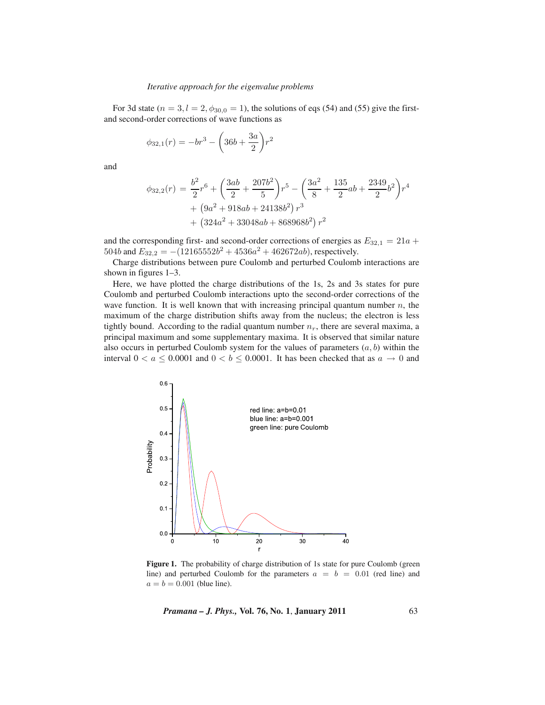For 3d state ( $n = 3$ ,  $l = 2$ ,  $\phi_{30,0} = 1$ ), the solutions of eqs (54) and (55) give the firstand second-order corrections of wave functions as

$$
\phi_{32,1}(r) = -br^3 - \left(36b + \frac{3a}{2}\right)r^2
$$

and

$$
\phi_{32,2}(r) = \frac{b^2}{2}r^6 + \left(\frac{3ab}{2} + \frac{207b^2}{5}\right)r^5 - \left(\frac{3a^2}{8} + \frac{135}{2}ab + \frac{2349}{2}b^2\right)r^4 + \left(9a^2 + 918ab + 24138b^2\right)r^3 + \left(324a^2 + 33048ab + 868968b^2\right)r^2
$$

and the corresponding first- and second-order corrections of energies as  $E_{32,1} = 21a +$ 504b and  $E_{32,2} = -(12165552b^2 + 4536a^2 + 462672ab)$ , respectively.

Charge distributions between pure Coulomb and perturbed Coulomb interactions are shown in figures 1–3.

Here, we have plotted the charge distributions of the 1s, 2s and 3s states for pure Coulomb and perturbed Coulomb interactions upto the second-order corrections of the wave function. It is well known that with increasing principal quantum number  $n$ , the maximum of the charge distribution shifts away from the nucleus; the electron is less tightly bound. According to the radial quantum number  $n_r$ , there are several maxima, a principal maximum and some supplementary maxima. It is observed that similar nature also occurs in perturbed Coulomb system for the values of parameters  $(a, b)$  within the interval  $0 < a \leq 0.0001$  and  $0 < b \leq 0.0001$ . It has been checked that as  $a \to 0$  and



Figure 1. The probability of charge distribution of 1s state for pure Coulomb (green line) and perturbed Coulomb for the parameters  $a = b = 0.01$  (red line) and  $a = b = 0.001$  (blue line).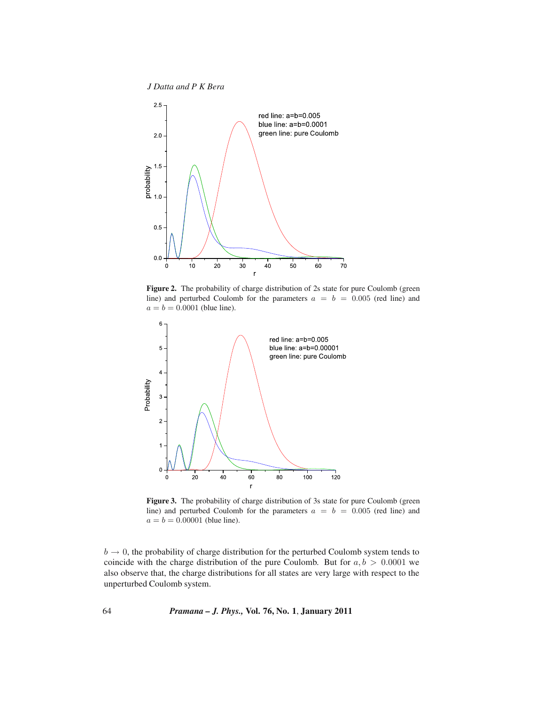*J Datta and P K Bera*



Figure 2. The probability of charge distribution of 2s state for pure Coulomb (green line) and perturbed Coulomb for the parameters  $a = b = 0.005$  (red line) and  $a = b = 0.0001$  (blue line).



Figure 3. The probability of charge distribution of 3s state for pure Coulomb (green line) and perturbed Coulomb for the parameters  $a = b = 0.005$  (red line) and  $a = b = 0.00001$  (blue line).

 $b \rightarrow 0$ , the probability of charge distribution for the perturbed Coulomb system tends to coincide with the charge distribution of the pure Coulomb. But for  $a, b > 0.0001$  we also observe that, the charge distributions for all states are very large with respect to the unperturbed Coulomb system.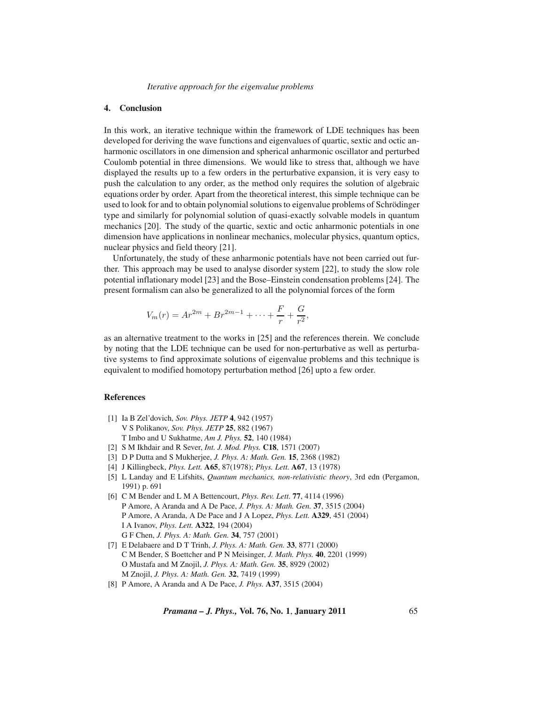# **4. Conclusion**

In this work, an iterative technique within the framework of LDE techniques has been developed for deriving the wave functions and eigenvalues of quartic, sextic and octic anharmonic oscillators in one dimension and spherical anharmonic oscillator and perturbed Coulomb potential in three dimensions. We would like to stress that, although we have displayed the results up to a few orders in the perturbative expansion, it is very easy to push the calculation to any order, as the method only requires the solution of algebraic equations order by order. Apart from the theoretical interest, this simple technique can be used to look for and to obtain polynomial solutions to eigenvalue problems of Schrödinger type and similarly for polynomial solution of quasi-exactly solvable models in quantum mechanics [20]. The study of the quartic, sextic and octic anharmonic potentials in one dimension have applications in nonlinear mechanics, molecular physics, quantum optics, nuclear physics and field theory [21].

Unfortunately, the study of these anharmonic potentials have not been carried out further. This approach may be used to analyse disorder system [22], to study the slow role potential inflationary model [23] and the Bose–Einstein condensation problems [24]. The present formalism can also be generalized to all the polynomial forces of the form

$$
V_m(r) = Ar^{2m} + Br^{2m-1} + \dots + \frac{F}{r} + \frac{G}{r^2},
$$

as an alternative treatment to the works in [25] and the references therein. We conclude by noting that the LDE technique can be used for non-perturbative as well as perturbative systems to find approximate solutions of eigenvalue problems and this technique is equivalent to modified homotopy perturbation method [26] upto a few order.

# **References**

- [1] Ia B Zel'dovich, *Sov. Phys. JETP* **4**, 942 (1957) V S Polikanov, *Sov. Phys. JETP* **25**, 882 (1967) T Imbo and U Sukhatme, *Am J. Phys.* **52**, 140 (1984)
- [2] S M Ikhdair and R Sever, *Int. J. Mod. Phys.* **C18**, 1571 (2007)
- [3] D P Dutta and S Mukherjee, *J. Phys. A: Math. Gen.* **15**, 2368 (1982)
- [4] J Killingbeck, *Phys. Lett.* **A65**, 87(1978); *Phys. Lett.* **A67**, 13 (1978)
- [5] L Landay and E Lifshits, *Quantum mechanics, non-relativistic theory*, 3rd edn (Pergamon, 1991) p. 691
- [6] C M Bender and L M A Bettencourt, *Phys. Rev. Lett.* **77**, 4114 (1996) P Amore, A Aranda and A De Pace, *J. Phys. A: Math. Gen.* **37**, 3515 (2004) P Amore, A Aranda, A De Pace and J A Lopez, *Phys. Lett.* **A329**, 451 (2004) I A Ivanov, *Phys. Lett.* **A322**, 194 (2004) G F Chen, *J. Phys. A: Math. Gen.* **34**, 757 (2001)
- [7] E Delabaere and D T Trinh, *J. Phys. A: Math. Gen.* **33**, 8771 (2000) C M Bender, S Boettcher and P N Meisinger, *J. Math. Phys.* **40**, 2201 (1999) O Mustafa and M Znojil, *J. Phys. A: Math. Gen.* **35**, 8929 (2002) M Znojil, *J. Phys. A: Math. Gen.* **32**, 7419 (1999)
- [8] P Amore, A Aranda and A De Pace, *J. Phys.* **A37**, 3515 (2004)